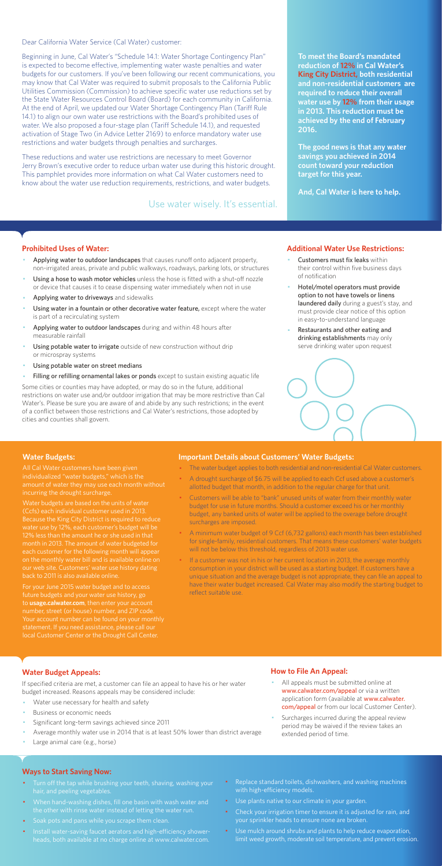Dear California Water Service (Cal Water) customer:

Beginning in June, Cal Water's "Schedule 14.1: Water Shortage Contingency Plan" is expected to become effective, implementing water waste penalties and water budgets for our customers. If you've been following our recent communications, you may know that Cal Water was required to submit proposals to the California Public Utilities Commission (Commission) to achieve specific water use reductions set by the State Water Resources Control Board (Board) for each community in California. At the end of April, we updated our Water Shortage Contingency Plan (Tariff Rule 14.1) to align our own water use restrictions with the Board's prohibited uses of water. We also proposed a four-stage plan (Tariff Schedule 14.1), and requested activation of Stage Two (in Advice Letter 2169) to enforce mandatory water use restrictions and water budgets through penalties and surcharges.

These reductions and water use restrictions are necessary to meet Governor Jerry Brown's executive order to reduce urban water use during this historic drought. This pamphlet provides more information on what Cal Water customers need to know about the water use reduction requirements, restrictions, and water budgets.

#### **Prohibited Uses of Water:**

- Applying water to outdoor landscapes that causes runoff onto adjacent property, non-irrigated areas, private and public walkways, roadways, parking lots, or structures
- Using a hose to wash motor vehicles unless the hose is fitted with a shut-off nozzle or device that causes it to cease dispensing water immediately when not in use
- Applying water to driveways and sidewalks
- Using water in a fountain or other decorative water feature, except where the water is part of a recirculating system
- Applying water to outdoor landscapes during and within 48 hours after measurable rainfall
- Using potable water to irrigate outside of new construction without drip or microspray systems
- Using potable water on street medians
- Filling or refilling ornamental lakes or ponds except to sustain existing aquatic life
- Customers must fix leaks within their control within five business days of notification
- Hotel/motel operators must provide option to not have towels or linens laundered daily during a guest's stay, and must provide clear notice of this option in easy-to-understand language
- Restaurants and other eating and drinking establishments may only serve drinking water upon request



- All appeals must be submitted online at www.calwater.com/appeal or via a written application form (available at www.calwater. com/appeal or from our local Customer Center).
- · Surcharges incurred during the appeal review period may be waived if the review takes an extended period of time.

Some cities or counties may have adopted, or may do so in the future, additional restrictions on water use and/or outdoor irrigation that may be more restrictive than Cal Water's. Please be sure you are aware of and abide by any such restrictions; in the event of a conflict between those restrictions and Cal Water's restrictions, those adopted by cities and counties shall govern.

- Turn off the tap while brushing your teeth, shaving, washing your hair, and peeling vegetables.
- · When hand-washing dishes, fill one basin with wash water and the other with rinse water instead of letting the water run.
- · Soak pots and pans while you scrape them clean.
- · Install water-saving faucet aerators and high-efficiency showerheads, both available at no charge online at www.calwater.com.
- Replace standard toilets, dishwashers, and washing machines with high-efficiency models.
- · Use plants native to our climate in your garden.
- Check your irrigation timer to ensure it is adjusted for rain, and your sprinkler heads to ensure none are broken.
- · Use mulch around shrubs and plants to help reduce evaporation, limit weed growth, moderate soil temperature, and prevent erosion.

**To meet the Board's mandated reduction of 12% in Cal Water's King City District, both residential and non-residential customers are required to reduce their overall water use by 12% from their usage in 2013. This reduction must be achieved by the end of February 2016.** 

**The good news is that any water savings you achieved in 2014 count toward your reduction target for this year.** 

**And, Cal Water is here to help.** 

#### **Additional Water Use Restrictions:**

## **Water Budget Appeals:**

If specified criteria are met, a customer can file an appeal to have his or her water budget increased. Reasons appeals may be considered include:

- Water use necessary for health and safety
- Business or economic needs
- Significant long-term savings achieved since 2011
- Average monthly water use in 2014 that is at least 50% lower than district average
- Large animal care (e.g., horse)

If a customer was not in his or her current location in 2013, the average monthly consumption in your district will be used as a starting budget. If customers have a unique situation and the average budget is not appropriate, they can file an appeal to have their water budget increased. Cal Water may also modify the starting budget to reflect suitable use.

## **How to File An Appeal:**

#### **Ways to Start Saving Now:**

Use water wisely. It's essential.

#### **Water Budgets:**

individualized "water budgets," which is the incurring the drought surcharge.

Water budgets are based on the units of water water use by 12%, each customer's budget will be month in 2013. The amount of water budgeted for each customer for the following month will appea on the monthly water bill and is available online on

For your June 2015 water budget and to access future budgets and your water use history, go to **usage.calwater.com**, then enter your account number, street (or house) number, and ZIP code. local Customer Center or the Drought Call Center.

#### **Important Details about Customers' Water Budgets:**

- · The water budget applies to both residential and non-residential Cal Water customers.
- A drought surcharge of \$6.75 will be applied to each Ccf used above a customer's allotted budget that month, in addition to the regular charge for that unit.
- · Customers will be able to "bank" unused units of water from their monthly water budget for use in future months. Should a customer exceed his or her monthly budget, any banked units of water will be applied to the overage before drought surcharges are imposed.
- · A minimum water budget of 9 Ccf (6,732 gallons) each month has been established for single-family, residential customers. That means these customers' water budgets will not be below this threshold, regardless of 2013 water use.